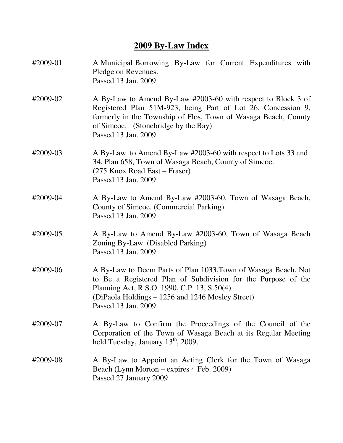# **2009 By-Law Index**

| #2009-01 | A Municipal Borrowing By-Law for Current Expenditures with<br>Pledge on Revenues.<br>Passed 13 Jan. 2009                                                                                                                                                     |
|----------|--------------------------------------------------------------------------------------------------------------------------------------------------------------------------------------------------------------------------------------------------------------|
| #2009-02 | A By-Law to Amend By-Law #2003-60 with respect to Block 3 of<br>Registered Plan 51M-923, being Part of Lot 26, Concession 9,<br>formerly in the Township of Flos, Town of Wasaga Beach, County<br>of Simcoe. (Stonebridge by the Bay)<br>Passed 13 Jan. 2009 |
| #2009-03 | A By-Law to Amend By-Law #2003-60 with respect to Lots 33 and<br>34, Plan 658, Town of Wasaga Beach, County of Simcoe.<br>(275 Knox Road East – Fraser)<br>Passed 13 Jan. 2009                                                                               |
| #2009-04 | A By-Law to Amend By-Law #2003-60, Town of Wasaga Beach,<br>County of Simcoe. (Commercial Parking)<br>Passed 13 Jan. 2009                                                                                                                                    |
| #2009-05 | A By-Law to Amend By-Law #2003-60, Town of Wasaga Beach<br>Zoning By-Law. (Disabled Parking)<br>Passed 13 Jan. 2009                                                                                                                                          |
| #2009-06 | A By-Law to Deem Parts of Plan 1033, Town of Wasaga Beach, Not<br>to Be a Registered Plan of Subdivision for the Purpose of the<br>Planning Act, R.S.O. 1990, C.P. 13, S.50(4)<br>(DiPaola Holdings – 1256 and 1246 Mosley Street)<br>Passed 13 Jan. 2009    |
| #2009-07 | A By-Law to Confirm the Proceedings of the Council of the<br>Corporation of the Town of Wasaga Beach at its Regular Meeting<br>held Tuesday, January $13th$ , 2009.                                                                                          |
| #2009-08 | A By-Law to Appoint an Acting Clerk for the Town of Wasaga<br>Beach (Lynn Morton – expires 4 Feb. 2009)<br>Passed 27 January 2009                                                                                                                            |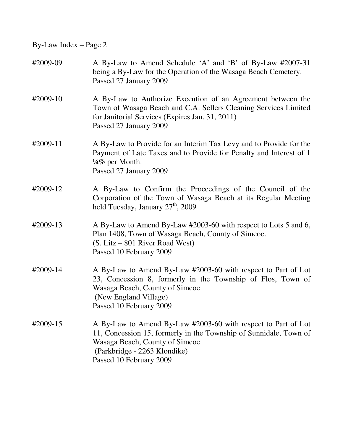| #2009-09 | A By-Law to Amend Schedule 'A' and 'B' of By-Law #2007-31<br>being a By-Law for the Operation of the Wasaga Beach Cemetery.<br>Passed 27 January 2009                                                                           |
|----------|---------------------------------------------------------------------------------------------------------------------------------------------------------------------------------------------------------------------------------|
| #2009-10 | A By-Law to Authorize Execution of an Agreement between the<br>Town of Wasaga Beach and C.A. Sellers Cleaning Services Limited<br>for Janitorial Services (Expires Jan. 31, 2011)<br>Passed 27 January 2009                     |
| #2009-11 | A By-Law to Provide for an Interim Tax Levy and to Provide for the<br>Payment of Late Taxes and to Provide for Penalty and Interest of 1<br>$\frac{1}{4}\%$ per Month.<br>Passed 27 January 2009                                |
| #2009-12 | A By-Law to Confirm the Proceedings of the Council of the<br>Corporation of the Town of Wasaga Beach at its Regular Meeting<br>held Tuesday, January 27 <sup>th</sup> , 2009                                                    |
| #2009-13 | A By-Law to Amend By-Law #2003-60 with respect to Lots 5 and 6,<br>Plan 1408, Town of Wasaga Beach, County of Simcoe.<br>(S. Litz – 801 River Road West)<br>Passed 10 February 2009                                             |
| #2009-14 | A By-Law to Amend By-Law #2003-60 with respect to Part of Lot<br>23, Concession 8, formerly in the Township of Flos, Town of<br>Wasaga Beach, County of Simcoe.<br>(New England Village)<br>Passed 10 February 2009             |
| #2009-15 | A By-Law to Amend By-Law #2003-60 with respect to Part of Lot<br>11, Concession 15, formerly in the Township of Sunnidale, Town of<br>Wasaga Beach, County of Simcoe<br>(Parkbridge - 2263 Klondike)<br>Passed 10 February 2009 |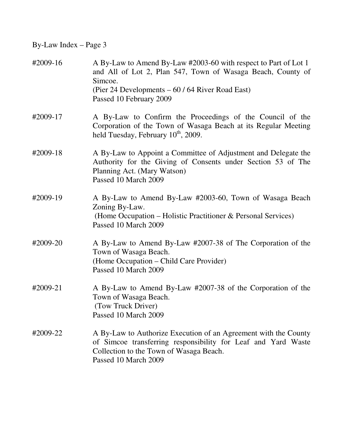| #2009-16 | A By-Law to Amend By-Law #2003-60 with respect to Part of Lot 1<br>and All of Lot 2, Plan 547, Town of Wasaga Beach, County of<br>Simcoe.<br>(Pier 24 Developments – 60 / 64 River Road East)<br>Passed 10 February 2009 |
|----------|--------------------------------------------------------------------------------------------------------------------------------------------------------------------------------------------------------------------------|
| #2009-17 | A By-Law to Confirm the Proceedings of the Council of the<br>Corporation of the Town of Wasaga Beach at its Regular Meeting<br>held Tuesday, February 10 <sup>th</sup> , 2009.                                           |
| #2009-18 | A By-Law to Appoint a Committee of Adjustment and Delegate the<br>Authority for the Giving of Consents under Section 53 of The<br>Planning Act. (Mary Watson)<br>Passed 10 March 2009                                    |
| #2009-19 | A By-Law to Amend By-Law #2003-60, Town of Wasaga Beach<br>Zoning By-Law.<br>(Home Occupation – Holistic Practitioner & Personal Services)<br>Passed 10 March 2009                                                       |
| #2009-20 | A By-Law to Amend By-Law #2007-38 of The Corporation of the<br>Town of Wasaga Beach.<br>(Home Occupation – Child Care Provider)<br>Passed 10 March 2009                                                                  |
| #2009-21 | A By-Law to Amend By-Law #2007-38 of the Corporation of the<br>Town of Wasaga Beach.<br>(Tow Truck Driver)<br>Passed 10 March 2009                                                                                       |
| #2009-22 | A By-Law to Authorize Execution of an Agreement with the County<br>of Simcoe transferring responsibility for Leaf and Yard Waste<br>Collection to the Town of Wasaga Beach.<br>Passed 10 March 2009                      |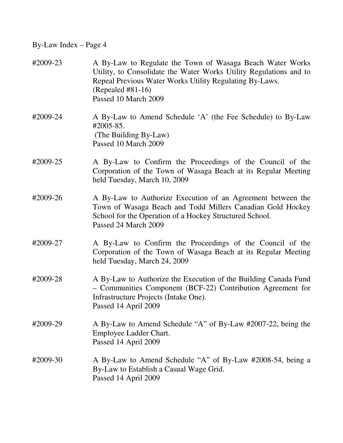| #2009-23 | A By-Law to Regulate the Town of Wasaga Beach Water Works<br>Utility, to Consolidate the Water Works Utility Regulations and to<br>Repeal Previous Water Works Utility Regulating By-Laws.<br>$(Repeated #81-16)$<br>Passed 10 March 2009 |
|----------|-------------------------------------------------------------------------------------------------------------------------------------------------------------------------------------------------------------------------------------------|
| #2009-24 | A By-Law to Amend Schedule 'A' (the Fee Schedule) to By-Law<br>$\text{\#}2005 - 85.$<br>(The Building By-Law)<br>Passed 10 March 2009                                                                                                     |
| #2009-25 | A By-Law to Confirm the Proceedings of the Council of the<br>Corporation of the Town of Wasaga Beach at its Regular Meeting<br>held Tuesday, March 10, 2009                                                                               |
| #2009-26 | A By-Law to Authorize Execution of an Agreement between the<br>Town of Wasaga Beach and Todd Millers Canadian Gold Hockey<br>School for the Operation of a Hockey Structured School.<br>Passed 24 March 2009                              |
| #2009-27 | A By-Law to Confirm the Proceedings of the Council of the<br>Corporation of the Town of Wasaga Beach at its Regular Meeting<br>held Tuesday, March 24, 2009                                                                               |
| #2009-28 | A By-Law to Authorize the Execution of the Building Canada Fund<br>- Communities Component (BCF-22) Contribution Agreement for<br>Infrastructure Projects (Intake One).<br>Passed 14 April 2009                                           |
| #2009-29 | A By-Law to Amend Schedule "A" of By-Law #2007-22, being the<br>Employee Ladder Chart.<br>Passed 14 April 2009                                                                                                                            |
| #2009-30 | A By-Law to Amend Schedule "A" of By-Law #2008-54, being a<br>By-Law to Establish a Casual Wage Grid.<br>Passed 14 April 2009                                                                                                             |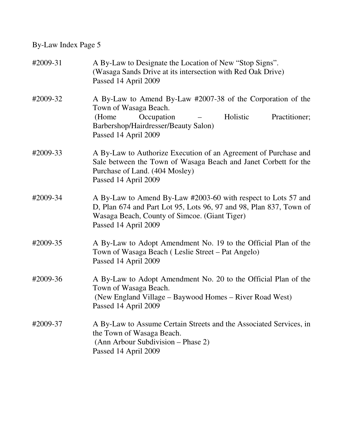| #2009-31 | A By-Law to Designate the Location of New "Stop Signs".<br>(Wasaga Sands Drive at its intersection with Red Oak Drive)<br>Passed 14 April 2009                                                               |
|----------|--------------------------------------------------------------------------------------------------------------------------------------------------------------------------------------------------------------|
| #2009-32 | A By-Law to Amend By-Law #2007-38 of the Corporation of the<br>Town of Wasaga Beach.<br>Occupation<br>Holistic<br>Practitioner;<br>(Home)<br>Barbershop/Hairdresser/Beauty Salon)<br>Passed 14 April 2009    |
| #2009-33 | A By-Law to Authorize Execution of an Agreement of Purchase and<br>Sale between the Town of Wasaga Beach and Janet Corbett for the<br>Purchase of Land. (404 Mosley)<br>Passed 14 April 2009                 |
| #2009-34 | A By-Law to Amend By-Law #2003-60 with respect to Lots 57 and<br>D, Plan 674 and Part Lot 95, Lots 96, 97 and 98, Plan 837, Town of<br>Wasaga Beach, County of Simcoe. (Giant Tiger)<br>Passed 14 April 2009 |
| #2009-35 | A By-Law to Adopt Amendment No. 19 to the Official Plan of the<br>Town of Wasaga Beach (Leslie Street – Pat Angelo)<br>Passed 14 April 2009                                                                  |
| #2009-36 | A By-Law to Adopt Amendment No. 20 to the Official Plan of the<br>Town of Wasaga Beach.<br>(New England Village – Baywood Homes – River Road West)<br>Passed 14 April 2009                                   |
| #2009-37 | A By-Law to Assume Certain Streets and the Associated Services, in<br>the Town of Wasaga Beach.<br>(Ann Arbour Subdivision – Phase 2)<br>Passed 14 April 2009                                                |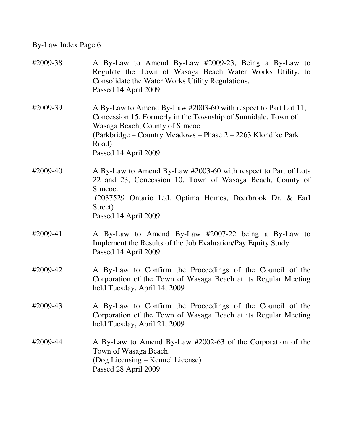| #2009-38 | A By-Law to Amend By-Law #2009-23, Being a By-Law to<br>Regulate the Town of Wasaga Beach Water Works Utility, to<br>Consolidate the Water Works Utility Regulations.<br>Passed 14 April 2009                                                                      |
|----------|--------------------------------------------------------------------------------------------------------------------------------------------------------------------------------------------------------------------------------------------------------------------|
| #2009-39 | A By-Law to Amend By-Law #2003-60 with respect to Part Lot 11,<br>Concession 15, Formerly in the Township of Sunnidale, Town of<br>Wasaga Beach, County of Simcoe<br>(Parkbridge – Country Meadows – Phase 2 – 2263 Klondike Park<br>Road)<br>Passed 14 April 2009 |
| #2009-40 | A By-Law to Amend By-Law #2003-60 with respect to Part of Lots<br>22 and 23, Concession 10, Town of Wasaga Beach, County of<br>Simcoe.<br>(2037529 Ontario Ltd. Optima Homes, Deerbrook Dr. & Earl<br>Street)<br>Passed 14 April 2009                              |
| #2009-41 | A By-Law to Amend By-Law #2007-22 being a By-Law to<br>Implement the Results of the Job Evaluation/Pay Equity Study<br>Passed 14 April 2009                                                                                                                        |
| #2009-42 | A By-Law to Confirm the Proceedings of the Council of the<br>Corporation of the Town of Wasaga Beach at its Regular Meeting<br>held Tuesday, April 14, 2009                                                                                                        |
| #2009-43 | A By-Law to Confirm the Proceedings of the Council of the<br>Corporation of the Town of Wasaga Beach at its Regular Meeting<br>held Tuesday, April 21, 2009                                                                                                        |
| #2009-44 | A By-Law to Amend By-Law #2002-63 of the Corporation of the<br>Town of Wasaga Beach.<br>(Dog Licensing – Kennel License)<br>Passed 28 April 2009                                                                                                                   |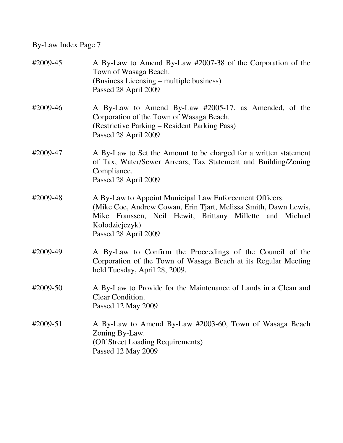| #2009-45 | A By-Law to Amend By-Law #2007-38 of the Corporation of the<br>Town of Wasaga Beach.<br>(Business Licensing – multiple business)<br>Passed 28 April 2009                                                                         |
|----------|----------------------------------------------------------------------------------------------------------------------------------------------------------------------------------------------------------------------------------|
| #2009-46 | A By-Law to Amend By-Law #2005-17, as Amended, of the<br>Corporation of the Town of Wasaga Beach.<br>(Restrictive Parking – Resident Parking Pass)<br>Passed 28 April 2009                                                       |
| #2009-47 | A By-Law to Set the Amount to be charged for a written statement<br>of Tax, Water/Sewer Arrears, Tax Statement and Building/Zoning<br>Compliance.<br>Passed 28 April 2009                                                        |
| #2009-48 | A By-Law to Appoint Municipal Law Enforcement Officers.<br>(Mike Coe, Andrew Cowan, Erin Tjart, Melissa Smith, Dawn Lewis,<br>Mike Franssen, Neil Hewit, Brittany Millette and Michael<br>Kolodziejczyk)<br>Passed 28 April 2009 |
| #2009-49 | A By-Law to Confirm the Proceedings of the Council of the<br>Corporation of the Town of Wasaga Beach at its Regular Meeting<br>held Tuesday, April 28, 2009.                                                                     |
| #2009-50 | A By-Law to Provide for the Maintenance of Lands in a Clean and<br>Clear Condition.<br>Passed 12 May 2009                                                                                                                        |
| #2009-51 | A By-Law to Amend By-Law #2003-60, Town of Wasaga Beach<br>Zoning By-Law.<br>(Off Street Loading Requirements)<br>Passed 12 May 2009                                                                                             |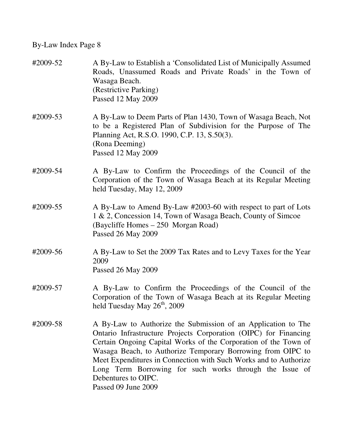| #2009-52 | A By-Law to Establish a 'Consolidated List of Municipally Assumed<br>Roads, Unassumed Roads and Private Roads' in the Town of<br>Wasaga Beach.<br>(Restrictive Parking)<br>Passed 12 May 2009                                                                                                                                                                                                                                                    |
|----------|--------------------------------------------------------------------------------------------------------------------------------------------------------------------------------------------------------------------------------------------------------------------------------------------------------------------------------------------------------------------------------------------------------------------------------------------------|
| #2009-53 | A By-Law to Deem Parts of Plan 1430, Town of Wasaga Beach, Not<br>to be a Registered Plan of Subdivision for the Purpose of The<br>Planning Act, R.S.O. 1990, C.P. 13, S.50(3).<br>(Rona Deeming)<br>Passed 12 May 2009                                                                                                                                                                                                                          |
| #2009-54 | A By-Law to Confirm the Proceedings of the Council of the<br>Corporation of the Town of Wasaga Beach at its Regular Meeting<br>held Tuesday, May 12, 2009                                                                                                                                                                                                                                                                                        |
| #2009-55 | A By-Law to Amend By-Law #2003-60 with respect to part of Lots<br>1 & 2, Concession 14, Town of Wasaga Beach, County of Simcoe<br>(Baycliffe Homes - 250 Morgan Road)<br>Passed 26 May 2009                                                                                                                                                                                                                                                      |
| #2009-56 | A By-Law to Set the 2009 Tax Rates and to Levy Taxes for the Year<br>2009<br>Passed 26 May 2009                                                                                                                                                                                                                                                                                                                                                  |
| #2009-57 | A By-Law to Confirm the Proceedings of the Council of the<br>Corporation of the Town of Wasaga Beach at its Regular Meeting<br>held Tuesday May 26 <sup>th</sup> , 2009                                                                                                                                                                                                                                                                          |
| #2009-58 | A By-Law to Authorize the Submission of an Application to The<br>Ontario Infrastructure Projects Corporation (OIPC) for Financing<br>Certain Ongoing Capital Works of the Corporation of the Town of<br>Wasaga Beach, to Authorize Temporary Borrowing from OIPC to<br>Meet Expenditures in Connection with Such Works and to Authorize<br>Long Term Borrowing for such works through the Issue of<br>Debentures to OIPC.<br>Passed 09 June 2009 |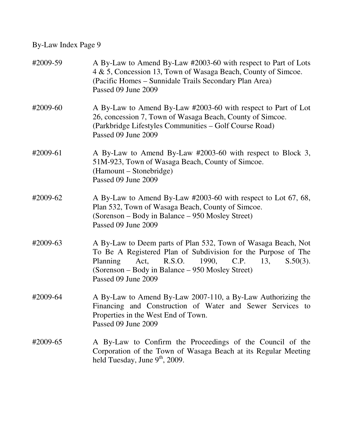| #2009-59 | A By-Law to Amend By-Law #2003-60 with respect to Part of Lots<br>4 & 5, Concession 13, Town of Wasaga Beach, County of Simcoe.<br>(Pacific Homes – Sunnidale Trails Secondary Plan Area)<br>Passed 09 June 2009                                                               |
|----------|--------------------------------------------------------------------------------------------------------------------------------------------------------------------------------------------------------------------------------------------------------------------------------|
| #2009-60 | A By-Law to Amend By-Law #2003-60 with respect to Part of Lot<br>26, concession 7, Town of Wasaga Beach, County of Simcoe.<br>(Parkbridge Lifestyles Communities – Golf Course Road)<br>Passed 09 June 2009                                                                    |
| #2009-61 | A By-Law to Amend By-Law #2003-60 with respect to Block 3,<br>51M-923, Town of Wasaga Beach, County of Simcoe.<br>(Hamount – Stonebridge)<br>Passed 09 June 2009                                                                                                               |
| #2009-62 | A By-Law to Amend By-Law #2003-60 with respect to Lot 67, 68,<br>Plan 532, Town of Wasaga Beach, County of Simcoe.<br>(Sorenson – Body in Balance – 950 Mosley Street)<br>Passed 09 June 2009                                                                                  |
| #2009-63 | A By-Law to Deem parts of Plan 532, Town of Wasaga Beach, Not<br>To Be A Registered Plan of Subdivision for the Purpose of The<br>Planning<br>C.P.<br>Act,<br>R.S.O.<br>1990,<br>13,<br>$S.50(3)$ .<br>(Sorenson – Body in Balance – 950 Mosley Street)<br>Passed 09 June 2009 |
| #2009-64 | A By-Law to Amend By-Law 2007-110, a By-Law Authorizing the<br>Financing and Construction of Water and Sewer Services to<br>Properties in the West End of Town.<br>Passed 09 June 2009                                                                                         |
| #2009-65 | A By-Law to Confirm the Proceedings of the Council of the<br>Corporation of the Town of Wasaga Beach at its Regular Meeting<br>held Tuesday, June $9th$ , 2009.                                                                                                                |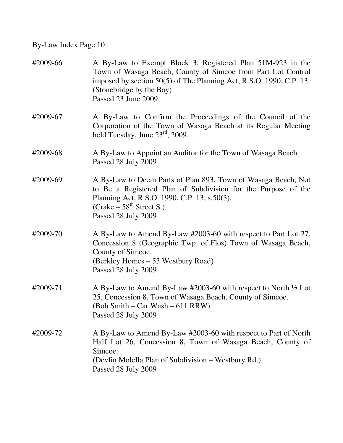| #2009-66 | A By-Law to Exempt Block 3, Registered Plan 51M-923 in the<br>Town of Wasaga Beach, County of Simcoe from Part Lot Control<br>imposed by section 50(5) of The Planning Act, R.S.O. 1990, C.P. 13.<br>(Stonebridge by the Bay)<br>Passed 23 June 2009 |
|----------|------------------------------------------------------------------------------------------------------------------------------------------------------------------------------------------------------------------------------------------------------|
| #2009-67 | A By-Law to Confirm the Proceedings of the Council of the<br>Corporation of the Town of Wasaga Beach at its Regular Meeting<br>held Tuesday, June $23^{\text{rd}}$ , 2009.                                                                           |
| #2009-68 | A By-Law to Appoint an Auditor for the Town of Wasaga Beach.<br>Passed 28 July 2009                                                                                                                                                                  |
| #2009-69 | A By-Law to Deem Parts of Plan 893, Town of Wasaga Beach, Not<br>to Be a Registered Plan of Subdivision for the Purpose of the<br>Planning Act, R.S.O. 1990, C.P. 13, s.50(3).<br>$(Crake - 58th Street S.)$<br>Passed 28 July 2009                  |
| #2009-70 | A By-Law to Amend By-Law #2003-60 with respect to Part Lot 27,<br>Concession 8 (Geographic Twp. of Flos) Town of Wasaga Beach,<br>County of Simcoe.<br>(Berkley Homes – 53 Westbury Road)<br>Passed 28 July 2009                                     |
| #2009-71 | A By-Law to Amend By-Law #2003-60 with respect to North $\frac{1}{2}$ Lot<br>25, Concession 8, Town of Wasaga Beach, County of Simcoe.<br>(Bob Smith – Car Wash – 611 RRW)<br>Passed 28 July 2009                                                    |
| #2009-72 | A By-Law to Amend By-Law #2003-60 with respect to Part of North<br>Half Lot 26, Concession 8, Town of Wasaga Beach, County of<br>Simcoe.<br>(Devlin Molella Plan of Subdivision - Westbury Rd.)<br>Passed 28 July 2009                               |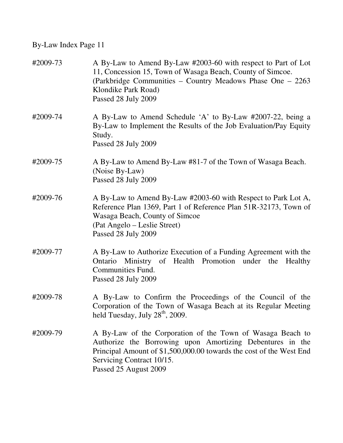| #2009-73 | A By-Law to Amend By-Law #2003-60 with respect to Part of Lot<br>11, Concession 15, Town of Wasaga Beach, County of Simcoe.<br>(Parkbridge Communities – Country Meadows Phase One – 2263)<br>Klondike Park Road)<br>Passed 28 July 2009             |
|----------|------------------------------------------------------------------------------------------------------------------------------------------------------------------------------------------------------------------------------------------------------|
| #2009-74 | A By-Law to Amend Schedule 'A' to By-Law #2007-22, being a<br>By-Law to Implement the Results of the Job Evaluation/Pay Equity<br>Study.<br>Passed 28 July 2009                                                                                      |
| #2009-75 | A By-Law to Amend By-Law #81-7 of the Town of Wasaga Beach.<br>(Noise By-Law)<br>Passed 28 July 2009                                                                                                                                                 |
| #2009-76 | A By-Law to Amend By-Law #2003-60 with Respect to Park Lot A,<br>Reference Plan 1369, Part 1 of Reference Plan 51R-32173, Town of<br>Wasaga Beach, County of Simcoe<br>(Pat Angelo – Leslie Street)<br>Passed 28 July 2009                           |
| #2009-77 | A By-Law to Authorize Execution of a Funding Agreement with the<br>Ontario Ministry of Health Promotion under the<br>Healthy<br><b>Communities Fund.</b><br>Passed 28 July 2009                                                                      |
| #2009-78 | A By-Law to Confirm the Proceedings of the Council of the<br>Corporation of the Town of Wasaga Beach at its Regular Meeting<br>held Tuesday, July 28 <sup>th</sup> , 2009.                                                                           |
| #2009-79 | A By-Law of the Corporation of the Town of Wasaga Beach to<br>Authorize the Borrowing upon Amortizing Debentures in the<br>Principal Amount of \$1,500,000.00 towards the cost of the West End<br>Servicing Contract 10/15.<br>Passed 25 August 2009 |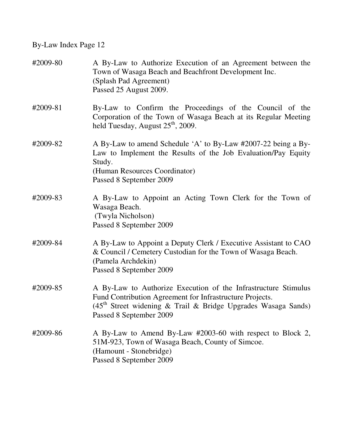| #2009-80 | A By-Law to Authorize Execution of an Agreement between the<br>Town of Wasaga Beach and Beachfront Development Inc.<br>(Splash Pad Agreement)<br>Passed 25 August 2009.                                                  |
|----------|--------------------------------------------------------------------------------------------------------------------------------------------------------------------------------------------------------------------------|
| #2009-81 | By-Law to Confirm the Proceedings of the Council of the<br>Corporation of the Town of Wasaga Beach at its Regular Meeting<br>held Tuesday, August $25th$ , 2009.                                                         |
| #2009-82 | A By-Law to amend Schedule 'A' to By-Law #2007-22 being a By-<br>Law to Implement the Results of the Job Evaluation/Pay Equity<br>Study.<br>(Human Resources Coordinator)<br>Passed 8 September 2009                     |
| #2009-83 | A By-Law to Appoint an Acting Town Clerk for the Town of<br>Wasaga Beach.<br>(Twyla Nicholson)<br>Passed 8 September 2009                                                                                                |
| #2009-84 | A By-Law to Appoint a Deputy Clerk / Executive Assistant to CAO<br>& Council / Cemetery Custodian for the Town of Wasaga Beach.<br>(Pamela Archdekin)<br>Passed 8 September 2009                                         |
| #2009-85 | A By-Law to Authorize Execution of the Infrastructure Stimulus<br>Fund Contribution Agreement for Infrastructure Projects.<br>$(45th$ Street widening & Trail & Bridge Upgrades Wasaga Sands)<br>Passed 8 September 2009 |
| #2009-86 | A By-Law to Amend By-Law #2003-60 with respect to Block 2,<br>51M-923, Town of Wasaga Beach, County of Simcoe.<br>(Hamount - Stonebridge)<br>Passed 8 September 2009                                                     |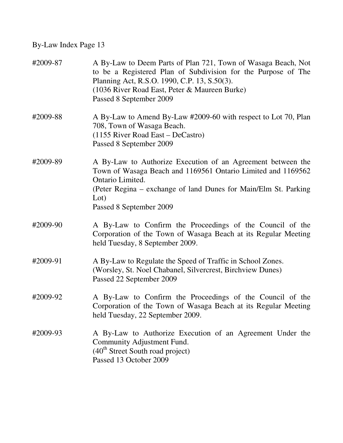| #2009-87 | A By-Law to Deem Parts of Plan 721, Town of Wasaga Beach, Not<br>to be a Registered Plan of Subdivision for the Purpose of The<br>Planning Act, R.S.O. 1990, C.P. 13, S.50(3).<br>(1036 River Road East, Peter & Maureen Burke)<br>Passed 8 September 2009 |
|----------|------------------------------------------------------------------------------------------------------------------------------------------------------------------------------------------------------------------------------------------------------------|
| #2009-88 | A By-Law to Amend By-Law #2009-60 with respect to Lot 70, Plan<br>708, Town of Wasaga Beach.<br>$(1155$ River Road East – DeCastro)<br>Passed 8 September 2009                                                                                             |
| #2009-89 | A By-Law to Authorize Execution of an Agreement between the<br>Town of Wasaga Beach and 1169561 Ontario Limited and 1169562<br>Ontario Limited.<br>(Peter Regina – exchange of land Dunes for Main/Elm St. Parking<br>Lot)<br>Passed 8 September 2009      |
| #2009-90 | A By-Law to Confirm the Proceedings of the Council of the<br>Corporation of the Town of Wasaga Beach at its Regular Meeting<br>held Tuesday, 8 September 2009.                                                                                             |
| #2009-91 | A By-Law to Regulate the Speed of Traffic in School Zones.<br>(Worsley, St. Noel Chabanel, Silvercrest, Birchview Dunes)<br>Passed 22 September 2009                                                                                                       |
| #2009-92 | A By-Law to Confirm the Proceedings of the Council of the<br>Corporation of the Town of Wasaga Beach at its Regular Meeting<br>held Tuesday, 22 September 2009.                                                                                            |
| #2009-93 | A By-Law to Authorize Execution of an Agreement Under the<br>Community Adjustment Fund.<br>$(40th Street South road project)$<br>Passed 13 October 2009                                                                                                    |
|          |                                                                                                                                                                                                                                                            |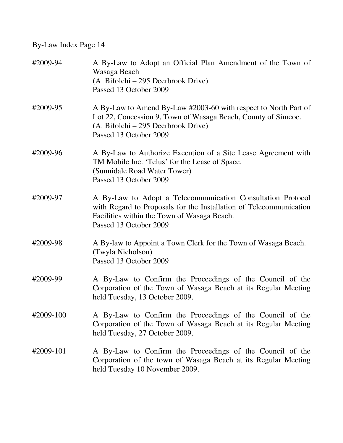| #2009-94  | A By-Law to Adopt an Official Plan Amendment of the Town of<br>Wasaga Beach<br>(A. Bifolchi – 295 Deerbrook Drive)<br>Passed 13 October 2009                                                               |
|-----------|------------------------------------------------------------------------------------------------------------------------------------------------------------------------------------------------------------|
| #2009-95  | A By-Law to Amend By-Law #2003-60 with respect to North Part of<br>Lot 22, Concession 9, Town of Wasaga Beach, County of Simcoe.<br>(A. Bifolchi – 295 Deerbrook Drive)<br>Passed 13 October 2009          |
| #2009-96  | A By-Law to Authorize Execution of a Site Lease Agreement with<br>TM Mobile Inc. 'Telus' for the Lease of Space.<br>(Sunnidale Road Water Tower)<br>Passed 13 October 2009                                 |
| #2009-97  | A By-Law to Adopt a Telecommunication Consultation Protocol<br>with Regard to Proposals for the Installation of Telecommunication<br>Facilities within the Town of Wasaga Beach.<br>Passed 13 October 2009 |
| #2009-98  | A By-law to Appoint a Town Clerk for the Town of Wasaga Beach.<br>(Twyla Nicholson)<br>Passed 13 October 2009                                                                                              |
| #2009-99  | A By-Law to Confirm the Proceedings of the Council of the<br>Corporation of the Town of Wasaga Beach at its Regular Meeting<br>held Tuesday, 13 October 2009.                                              |
| #2009-100 | A By-Law to Confirm the Proceedings of the Council of the<br>Corporation of the Town of Wasaga Beach at its Regular Meeting<br>held Tuesday, 27 October 2009.                                              |
| #2009-101 | A By-Law to Confirm the Proceedings of the Council of the<br>Corporation of the town of Wasaga Beach at its Regular Meeting<br>held Tuesday 10 November 2009.                                              |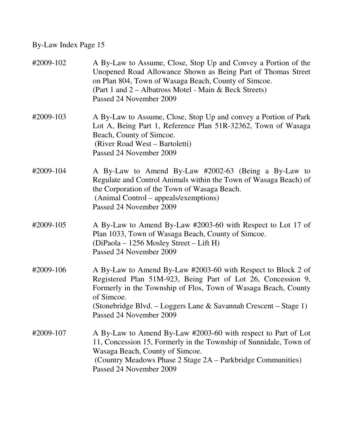| #2009-102 | A By-Law to Assume, Close, Stop Up and Convey a Portion of the<br>Unopened Road Allowance Shown as Being Part of Thomas Street<br>on Plan 804, Town of Wasaga Beach, County of Simcoe.<br>(Part 1 and 2 – Albatross Motel - Main & Beck Streets)<br>Passed 24 November 2009                                 |
|-----------|-------------------------------------------------------------------------------------------------------------------------------------------------------------------------------------------------------------------------------------------------------------------------------------------------------------|
| #2009-103 | A By-Law to Assume, Close, Stop Up and convey a Portion of Park<br>Lot A, Being Part 1, Reference Plan 51R-32362, Town of Wasaga<br>Beach, County of Simcoe.<br>(River Road West – Bartoletti)<br>Passed 24 November 2009                                                                                   |
| #2009-104 | A By-Law to Amend By-Law #2002-63 (Being a By-Law to<br>Regulate and Control Animals within the Town of Wasaga Beach) of<br>the Corporation of the Town of Wasaga Beach.<br>(Animal Control – appeals/exemptions)<br>Passed 24 November 2009                                                                |
| #2009-105 | A By-Law to Amend By-Law #2003-60 with Respect to Lot 17 of<br>Plan 1033, Town of Wasaga Beach, County of Simcoe.<br>(DiPaola – 1256 Mosley Street – Lift H)<br>Passed 24 November 2009                                                                                                                     |
| #2009-106 | A By-Law to Amend By-Law #2003-60 with Respect to Block 2 of<br>Registered Plan 51M-923, Being Part of Lot 26, Concession 9,<br>Formerly in the Township of Flos, Town of Wasaga Beach, County<br>of Simcoe.<br>(Stonebridge Blvd. – Loggers Lane & Savannah Crescent – Stage 1)<br>Passed 24 November 2009 |
| #2009-107 | A By-Law to Amend By-Law #2003-60 with respect to Part of Lot<br>11, Concession 15, Formerly in the Township of Sunnidale, Town of<br>Wasaga Beach, County of Simcoe.<br>(Country Meadows Phase 2 Stage 2A – Parkbridge Communities)<br>Passed 24 November 2009                                             |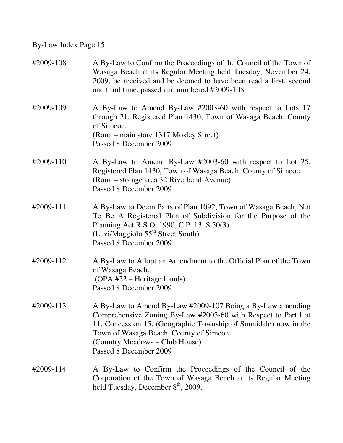| #2009-108 | A By-Law to Confirm the Proceedings of the Council of the Town of<br>Wasaga Beach at its Regular Meeting held Tuesday, November 24,<br>2009, be received and be deemed to have been read a first, second<br>and third time, passed and numbered #2009-108.                                             |
|-----------|--------------------------------------------------------------------------------------------------------------------------------------------------------------------------------------------------------------------------------------------------------------------------------------------------------|
| #2009-109 | A By-Law to Amend By-Law #2003-60 with respect to Lots 17<br>through 21, Registered Plan 1430, Town of Wasaga Beach, County<br>of Simcoe.<br>(Rona – main store 1317 Mosley Street)<br>Passed 8 December 2009                                                                                          |
| #2009-110 | A By-Law to Amend By-Law #2003-60 with respect to Lot 25,<br>Registered Plan 1430, Town of Wasaga Beach, County of Simcoe.<br>(Rona – storage area 32 Riverbend Avenue)<br>Passed 8 December 2009                                                                                                      |
| #2009-111 | A By-Law to Deem Parts of Plan 1092, Town of Wasaga Beach, Not<br>To Be A Registered Plan of Subdivision for the Purpose of the<br>Planning Act R.S.O. 1990, C.P. 13, S.50(3).<br>(Luzi/Maggiolo $55th$ Street South)<br>Passed 8 December 2009                                                        |
| #2009-112 | A By-Law to Adopt an Amendment to the Official Plan of the Town<br>of Wasaga Beach.<br>(OPA #22 – Heritage Lands)<br>Passed 8 December 2009                                                                                                                                                            |
| #2009-113 | A By-Law to Amend By-Law #2009-107 Being a By-Law amending<br>Comprehensive Zoning By-Law #2003-60 with Respect to Part Lot<br>11, Concession 15, (Geographic Township of Sunnidale) now in the<br>Town of Wasaga Beach, County of Simcoe.<br>(Country Meadows – Club House)<br>Passed 8 December 2009 |
| #2009-114 | A By-Law to Confirm the Proceedings of the Council of the<br>Corporation of the Town of Wasaga Beach at its Regular Meeting<br>held Tuesday, December 8 <sup>th</sup> , 2009.                                                                                                                          |